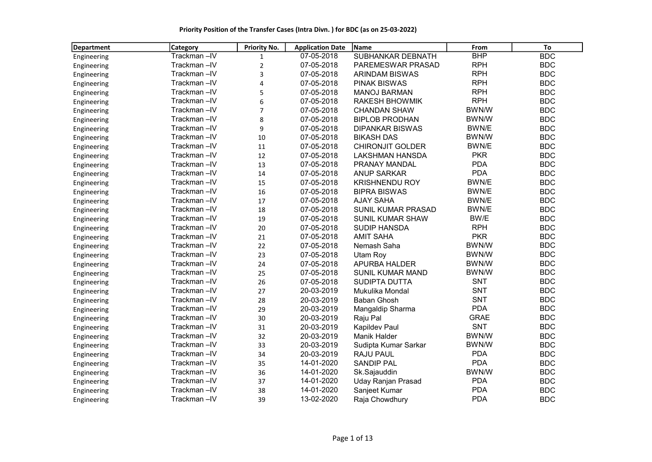Priority Position of the Transfer Cases (Intra Divn. ) for BDC (as on 25-03-2022)

| Department  | <b>Category</b> | <b>Priority No.</b> | <b>Application Date</b> | <b>Name</b>               | From         | To         |
|-------------|-----------------|---------------------|-------------------------|---------------------------|--------------|------------|
| Engineering | Trackman-IV     | $\mathbf{1}$        | 07-05-2018              | SUBHANKAR DEBNATH         | <b>BHP</b>   | <b>BDC</b> |
| Engineering | Trackman-IV     | $\overline{2}$      | 07-05-2018              | PAREMESWAR PRASAD         | <b>RPH</b>   | <b>BDC</b> |
| Engineering | Trackman-IV     | 3                   | 07-05-2018              | <b>ARINDAM BISWAS</b>     | <b>RPH</b>   | <b>BDC</b> |
| Engineering | Trackman-IV     | $\overline{4}$      | 07-05-2018              | <b>PINAK BISWAS</b>       | <b>RPH</b>   | <b>BDC</b> |
| Engineering | Trackman-IV     | 5                   | 07-05-2018              | <b>MANOJ BARMAN</b>       | <b>RPH</b>   | <b>BDC</b> |
| Engineering | Trackman-IV     | 6                   | 07-05-2018              | <b>RAKESH BHOWMIK</b>     | <b>RPH</b>   | <b>BDC</b> |
| Engineering | Trackman-IV     | $\overline{7}$      | 07-05-2018              | <b>CHANDAN SHAW</b>       | BWN/W        | <b>BDC</b> |
| Engineering | Trackman-IV     | 8                   | 07-05-2018              | <b>BIPLOB PRODHAN</b>     | BWN/W        | <b>BDC</b> |
| Engineering | Trackman-IV     | 9                   | 07-05-2018              | <b>DIPANKAR BISWAS</b>    | BWN/E        | <b>BDC</b> |
| Engineering | Trackman-IV     | 10                  | 07-05-2018              | <b>BIKASH DAS</b>         | BWN/W        | <b>BDC</b> |
| Engineering | Trackman-IV     | 11                  | 07-05-2018              | <b>CHIRONJIT GOLDER</b>   | BWN/E        | <b>BDC</b> |
| Engineering | Trackman-IV     | 12                  | 07-05-2018              | <b>LAKSHMAN HANSDA</b>    | <b>PKR</b>   | <b>BDC</b> |
| Engineering | Trackman-IV     | 13                  | 07-05-2018              | PRANAY MANDAL             | <b>PDA</b>   | <b>BDC</b> |
| Engineering | Trackman-IV     | 14                  | 07-05-2018              | <b>ANUP SARKAR</b>        | <b>PDA</b>   | <b>BDC</b> |
| Engineering | Trackman-IV     | 15                  | 07-05-2018              | <b>KRISHNENDU ROY</b>     | BWN/E        | <b>BDC</b> |
| Engineering | Trackman-IV     | 16                  | 07-05-2018              | <b>BIPRA BISWAS</b>       | BWN/E        | <b>BDC</b> |
| Engineering | Trackman-IV     | 17                  | 07-05-2018              | <b>AJAY SAHA</b>          | BWN/E        | <b>BDC</b> |
| Engineering | Trackman-IV     | 18                  | 07-05-2018              | SUNIL KUMAR PRASAD        | BWN/E        | <b>BDC</b> |
| Engineering | Trackman-IV     | 19                  | 07-05-2018              | SUNIL KUMAR SHAW          | BW/E         | <b>BDC</b> |
| Engineering | Trackman-IV     | 20                  | 07-05-2018              | <b>SUDIP HANSDA</b>       | <b>RPH</b>   | <b>BDC</b> |
| Engineering | Trackman-IV     | 21                  | 07-05-2018              | <b>AMIT SAHA</b>          | <b>PKR</b>   | <b>BDC</b> |
| Engineering | Trackman-IV     | 22                  | 07-05-2018              | Nemash Saha               | BWN/W        | <b>BDC</b> |
| Engineering | Trackman-IV     | 23                  | 07-05-2018              | Utam Roy                  | BWN/W        | <b>BDC</b> |
| Engineering | Trackman-IV     | 24                  | 07-05-2018              | APURBA HALDER             | BWN/W        | <b>BDC</b> |
| Engineering | Trackman-IV     | 25                  | 07-05-2018              | <b>SUNIL KUMAR MAND</b>   | BWN/W        | <b>BDC</b> |
| Engineering | Trackman-IV     | 26                  | 07-05-2018              | <b>SUDIPTA DUTTA</b>      | <b>SNT</b>   | <b>BDC</b> |
| Engineering | Trackman-IV     | 27                  | 20-03-2019              | Mukulika Mondal           | SNT          | <b>BDC</b> |
| Engineering | Trackman-IV     | 28                  | 20-03-2019              | <b>Baban Ghosh</b>        | <b>SNT</b>   | <b>BDC</b> |
| Engineering | Trackman-IV     | 29                  | 20-03-2019              | Mangaldip Sharma          | <b>PDA</b>   | <b>BDC</b> |
| Engineering | Trackman-IV     | 30                  | 20-03-2019              | Raju Pal                  | <b>GRAE</b>  | <b>BDC</b> |
| Engineering | Trackman-IV     | 31                  | 20-03-2019              | Kapildev Paul             | <b>SNT</b>   | <b>BDC</b> |
| Engineering | Trackman-IV     | 32                  | 20-03-2019              | Manik Halder              | <b>BWN/W</b> | <b>BDC</b> |
| Engineering | Trackman-IV     | 33                  | 20-03-2019              | Sudipta Kumar Sarkar      | BWN/W        | <b>BDC</b> |
| Engineering | Trackman-IV     | 34                  | 20-03-2019              | <b>RAJU PAUL</b>          | <b>PDA</b>   | <b>BDC</b> |
| Engineering | Trackman-IV     | 35                  | 14-01-2020              | <b>SANDIP PAL</b>         | <b>PDA</b>   | <b>BDC</b> |
| Engineering | Trackman-IV     | 36                  | 14-01-2020              | Sk.Sajauddin              | BWN/W        | <b>BDC</b> |
| Engineering | Trackman-IV     | 37                  | 14-01-2020              | <b>Uday Ranjan Prasad</b> | <b>PDA</b>   | <b>BDC</b> |
| Engineering | Trackman-IV     | 38                  | 14-01-2020              | Sanjeet Kumar             | <b>PDA</b>   | <b>BDC</b> |
| Engineering | Trackman-IV     | 39                  | 13-02-2020              | Raja Chowdhury            | <b>PDA</b>   | <b>BDC</b> |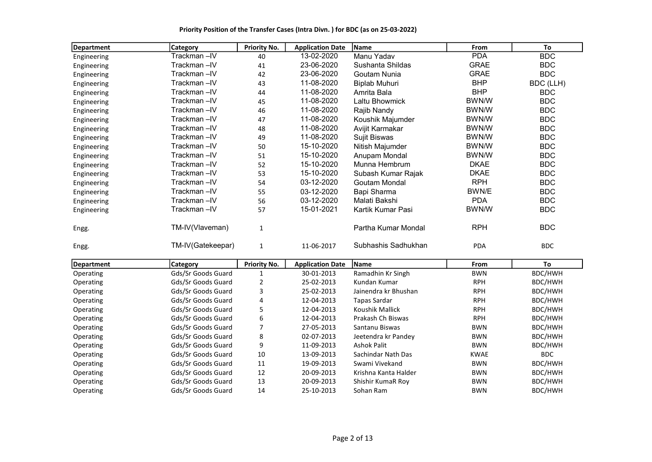Priority Position of the Transfer Cases (Intra Divn. ) for BDC (as on 25-03-2022)

| Department  | <b>Category</b>    | Priority No.        | <b>Application Date</b> | l Name               | From         | To         |
|-------------|--------------------|---------------------|-------------------------|----------------------|--------------|------------|
| Engineering | Trackman-IV        | 40                  | 13-02-2020              | Manu Yadav           | <b>PDA</b>   | <b>BDC</b> |
| Engineering | Trackman-IV        | 41                  | 23-06-2020              | Sushanta Shildas     | <b>GRAE</b>  | <b>BDC</b> |
| Engineering | Trackman-IV        | 42                  | 23-06-2020              | Goutam Nunia         | <b>GRAE</b>  | <b>BDC</b> |
| Engineering | Trackman-IV        | 43                  | 11-08-2020              | <b>Biplab Muhuri</b> | <b>BHP</b>   | BDC (LLH)  |
| Engineering | Trackman-IV        | 44                  | 11-08-2020              | Amrita Bala          | <b>BHP</b>   | <b>BDC</b> |
| Engineering | Trackman-IV        | 45                  | 11-08-2020              | Laltu Bhowmick       | BWN/W        | <b>BDC</b> |
| Engineering | Trackman-IV        | 46                  | 11-08-2020              | Rajib Nandy          | BWN/W        | <b>BDC</b> |
| Engineering | Trackman-IV        | 47                  | 11-08-2020              | Koushik Majumder     | BWN/W        | <b>BDC</b> |
| Engineering | Trackman-IV        | 48                  | 11-08-2020              | Avijit Karmakar      | BWN/W        | <b>BDC</b> |
| Engineering | Trackman-IV        | 49                  | 11-08-2020              | Sujit Biswas         | BWN/W        | <b>BDC</b> |
| Engineering | Trackman-IV        | 50                  | 15-10-2020              | Nitish Majumder      | BWN/W        | <b>BDC</b> |
| Engineering | Trackman-IV        | 51                  | 15-10-2020              | Anupam Mondal        | BWN/W        | <b>BDC</b> |
| Engineering | Trackman-IV        | 52                  | 15-10-2020              | Munna Hembrum        | <b>DKAE</b>  | <b>BDC</b> |
| Engineering | Trackman-IV        | 53                  | 15-10-2020              | Subash Kumar Rajak   | <b>DKAE</b>  | <b>BDC</b> |
| Engineering | Trackman-IV        | 54                  | 03-12-2020              | Goutam Mondal        | <b>RPH</b>   | <b>BDC</b> |
| Engineering | Trackman-IV        | 55                  | 03-12-2020              | Bapi Sharma          | BWN/E        | <b>BDC</b> |
| Engineering | Trackman-IV        | 56                  | 03-12-2020              | Malati Bakshi        | <b>PDA</b>   | <b>BDC</b> |
| Engineering | Trackman-IV        | 57                  | 15-01-2021              | Kartik Kumar Pasi    | <b>BWN/W</b> | <b>BDC</b> |
| Engg.       | TM-IV(Vlaveman)    | 1                   |                         | Partha Kumar Mondal  | <b>RPH</b>   | <b>BDC</b> |
| Engg.       | TM-IV(Gatekeepar)  | $\mathbf{1}$        | 11-06-2017              | Subhashis Sadhukhan  | <b>PDA</b>   | <b>BDC</b> |
| Department  | Category           | <b>Priority No.</b> | <b>Application Date</b> | Name                 | From         | To         |
| Operating   | Gds/Sr Goods Guard | $\mathbf 1$         | 30-01-2013              | Ramadhin Kr Singh    | <b>BWN</b>   | BDC/HWH    |
| Operating   | Gds/Sr Goods Guard | $\mathbf 2$         | 25-02-2013              | Kundan Kumar         | <b>RPH</b>   | BDC/HWH    |
| Operating   | Gds/Sr Goods Guard | 3                   | 25-02-2013              | Jainendra kr Bhushan | <b>RPH</b>   | BDC/HWH    |
| Operating   | Gds/Sr Goods Guard | 4                   | 12-04-2013              | <b>Tapas Sardar</b>  | <b>RPH</b>   | BDC/HWH    |
| Operating   | Gds/Sr Goods Guard | 5                   | 12-04-2013              | Koushik Mallick      | <b>RPH</b>   | BDC/HWH    |
| Operating   | Gds/Sr Goods Guard | 6                   | 12-04-2013              | Prakash Ch Biswas    | <b>RPH</b>   | BDC/HWH    |
| Operating   | Gds/Sr Goods Guard | 7                   | 27-05-2013              | Santanu Biswas       | <b>BWN</b>   | BDC/HWH    |
| Operating   | Gds/Sr Goods Guard | 8                   | 02-07-2013              | Jeetendra kr Pandey  | <b>BWN</b>   | BDC/HWH    |
| Operating   | Gds/Sr Goods Guard | 9                   | 11-09-2013              | <b>Ashok Palit</b>   | <b>BWN</b>   | BDC/HWH    |
| Operating   | Gds/Sr Goods Guard | 10                  | 13-09-2013              | Sachindar Nath Das   | <b>KWAE</b>  | <b>BDC</b> |
| Operating   | Gds/Sr Goods Guard | 11                  | 19-09-2013              | Swami Vivekand       | <b>BWN</b>   | BDC/HWH    |
| Operating   | Gds/Sr Goods Guard | 12                  | 20-09-2013              | Krishna Kanta Halder | <b>BWN</b>   | BDC/HWH    |
| Operating   | Gds/Sr Goods Guard | 13                  | 20-09-2013              | Shishir KumaR Roy    | <b>BWN</b>   | BDC/HWH    |
| Operating   | Gds/Sr Goods Guard | 14                  | 25-10-2013              | Sohan Ram            | <b>BWN</b>   | BDC/HWH    |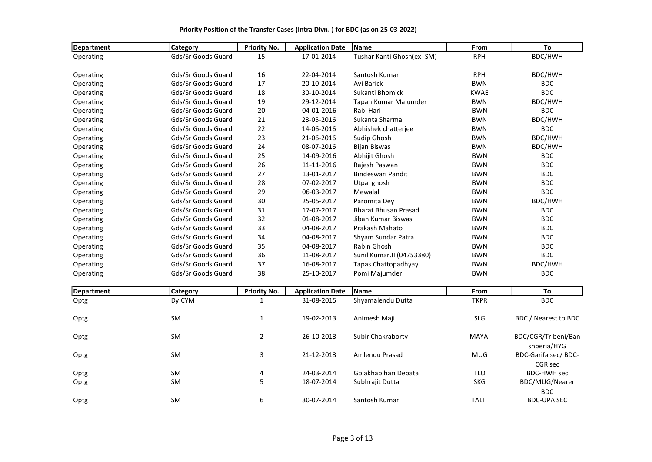| <b>Department</b>      | Category           | Priority No.   | <b>Application Date</b> | Name                        | From         | To                                  |
|------------------------|--------------------|----------------|-------------------------|-----------------------------|--------------|-------------------------------------|
| Operating              | Gds/Sr Goods Guard | 15             | 17-01-2014              | Tushar Kanti Ghosh(ex-SM)   | <b>RPH</b>   | BDC/HWH                             |
| Operating              | Gds/Sr Goods Guard | 16             | 22-04-2014              | Santosh Kumar               | <b>RPH</b>   | BDC/HWH                             |
| Operating              | Gds/Sr Goods Guard | 17             | 20-10-2014              | Avi Barick                  | <b>BWN</b>   | <b>BDC</b>                          |
| Operating              | Gds/Sr Goods Guard | 18             | 30-10-2014              | Sukanti Bhomick             | <b>KWAE</b>  | <b>BDC</b>                          |
| Operating              | Gds/Sr Goods Guard | 19             | 29-12-2014              | Tapan Kumar Majumder        | <b>BWN</b>   | BDC/HWH                             |
| Operating              | Gds/Sr Goods Guard | 20             | 04-01-2016              | Rabi Hari                   | <b>BWN</b>   | <b>BDC</b>                          |
| Operating              | Gds/Sr Goods Guard | 21             | 23-05-2016              | Sukanta Sharma              | <b>BWN</b>   | BDC/HWH                             |
| Operating              | Gds/Sr Goods Guard | 22             | 14-06-2016              | Abhishek chatterjee         | <b>BWN</b>   | <b>BDC</b>                          |
|                        | Gds/Sr Goods Guard | 23             | 21-06-2016              | Sudip Ghosh                 | <b>BWN</b>   | BDC/HWH                             |
| Operating              | Gds/Sr Goods Guard | 24             | 08-07-2016              | <b>Bijan Biswas</b>         | <b>BWN</b>   | BDC/HWH                             |
| Operating<br>Operating | Gds/Sr Goods Guard | 25             | 14-09-2016              | Abhijit Ghosh               | <b>BWN</b>   | <b>BDC</b>                          |
|                        |                    |                |                         |                             |              |                                     |
| Operating              | Gds/Sr Goods Guard | 26             | 11-11-2016              | Rajesh Paswan               | <b>BWN</b>   | <b>BDC</b>                          |
| Operating              | Gds/Sr Goods Guard | 27             | 13-01-2017              | <b>Bindeswari Pandit</b>    | <b>BWN</b>   | <b>BDC</b>                          |
| Operating              | Gds/Sr Goods Guard | 28             | 07-02-2017              | Utpal ghosh                 | <b>BWN</b>   | <b>BDC</b>                          |
| Operating              | Gds/Sr Goods Guard | 29             | 06-03-2017              | Mewalal                     | <b>BWN</b>   | <b>BDC</b>                          |
| Operating              | Gds/Sr Goods Guard | 30             | 25-05-2017              | Paromita Dey                | <b>BWN</b>   | BDC/HWH                             |
| Operating              | Gds/Sr Goods Guard | 31             | 17-07-2017              | <b>Bharat Bhusan Prasad</b> | <b>BWN</b>   | <b>BDC</b>                          |
| Operating              | Gds/Sr Goods Guard | 32             | 01-08-2017              | Jiban Kumar Biswas          | <b>BWN</b>   | <b>BDC</b>                          |
| Operating              | Gds/Sr Goods Guard | 33             | 04-08-2017              | Prakash Mahato              | <b>BWN</b>   | <b>BDC</b>                          |
| Operating              | Gds/Sr Goods Guard | 34             | 04-08-2017              | Shyam Sundar Patra          | <b>BWN</b>   | <b>BDC</b>                          |
| Operating              | Gds/Sr Goods Guard | 35             | 04-08-2017              | Rabin Ghosh                 | <b>BWN</b>   | <b>BDC</b>                          |
| Operating              | Gds/Sr Goods Guard | 36             | 11-08-2017              | Sunil Kumar. II (04753380)  | <b>BWN</b>   | <b>BDC</b>                          |
| Operating              | Gds/Sr Goods Guard | 37             | 16-08-2017              | Tapas Chattopadhyay         | <b>BWN</b>   | BDC/HWH                             |
| Operating              | Gds/Sr Goods Guard | 38             | 25-10-2017              | Pomi Majumder               | <b>BWN</b>   | <b>BDC</b>                          |
| <b>Department</b>      | Category           | Priority No.   | <b>Application Date</b> | Name                        | From         | To                                  |
| Optg                   | Dy.CYM             | $\mathbf{1}$   | 31-08-2015              | Shyamalendu Dutta           | <b>TKPR</b>  | <b>BDC</b>                          |
|                        |                    |                |                         |                             |              |                                     |
| Optg                   | SM                 | $\mathbf{1}$   | 19-02-2013              | Animesh Maji                | <b>SLG</b>   | BDC / Nearest to BDC                |
| Optg                   | SM                 | $\overline{2}$ | 26-10-2013              | Subir Chakraborty           | <b>MAYA</b>  | BDC/CGR/Tribeni/Ban                 |
|                        | SM                 | 3              | 21-12-2013              | Amlendu Prasad              | <b>MUG</b>   | shberia/HYG<br>BDC-Garifa sec/ BDC- |
| Optg                   |                    |                |                         |                             |              | CGR sec                             |
| Optg                   | SM                 | 4              | 24-03-2014              | Golakhabihari Debata        | <b>TLO</b>   | <b>BDC-HWH sec</b>                  |
| Optg                   | SM                 | 5              | 18-07-2014              | Subhrajit Dutta             | <b>SKG</b>   | BDC/MUG/Nearer                      |
|                        |                    | 6              | 30-07-2014              |                             |              | <b>BDC</b>                          |
| Optg                   | <b>SM</b>          |                |                         | Santosh Kumar               | <b>TALIT</b> | <b>BDC-UPA SEC</b>                  |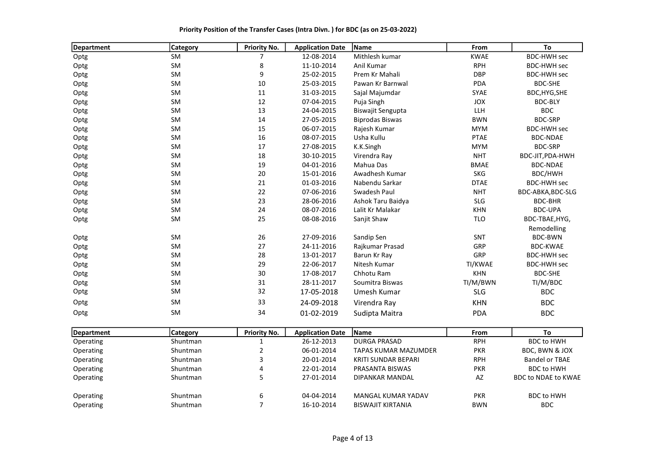| Priority Position of the Transfer Cases (Intra Divn.) for BDC (as on 25-03-2022) |  |  |
|----------------------------------------------------------------------------------|--|--|
|----------------------------------------------------------------------------------|--|--|

| Department | <b>Category</b> | Priority No.   | <b>Application Date</b>   | Name                   | From                          | To                 |
|------------|-----------------|----------------|---------------------------|------------------------|-------------------------------|--------------------|
| Optg       | SM              | 7              | 12-08-2014                | Mithlesh kumar         | <b>KWAE</b>                   | <b>BDC-HWH sec</b> |
| Optg       | SM              | 8              | 11-10-2014                | Anil Kumar             | <b>RPH</b>                    | <b>BDC-HWH sec</b> |
| Optg       | SM              | 9              | 25-02-2015                | Prem Kr Mahali         | <b>DBP</b>                    | <b>BDC-HWH sec</b> |
| Optg       | <b>SM</b>       | 10             | 25-03-2015                | Pawan Kr Barnwal       | <b>PDA</b>                    | <b>BDC-SHE</b>     |
| Optg       | SM              | 11             | 31-03-2015                | Sajal Majumdar         | SYAE                          | BDC, HYG, SHE      |
| Optg       | SM              | 12             | 07-04-2015                | Puja Singh             | <b>JOX</b>                    | <b>BDC-BLY</b>     |
| Optg       | SM              | 13             | 24-04-2015                | Biswajit Sengupta      | LLH                           | <b>BDC</b>         |
| Optg       | SM              | 14             | 27-05-2015                | <b>Biprodas Biswas</b> | <b>BWN</b>                    | <b>BDC-SRP</b>     |
| Optg       | SM              | 15             | 06-07-2015                | Rajesh Kumar           | <b>MYM</b>                    | <b>BDC-HWH sec</b> |
| Optg       | <b>SM</b>       | 16             | 08-07-2015                | Usha Kullu             | <b>PTAE</b>                   | <b>BDC-NDAE</b>    |
| Optg       | <b>SM</b>       | 17             | 27-08-2015                | K.K.Singh              | <b>MYM</b>                    | <b>BDC-SRP</b>     |
| Optg       | SM              | 18             | 30-10-2015                | Virendra Ray           | <b>NHT</b>                    | BDC-JIT, PDA-HWH   |
| Optg       | SM              | 19             | 04-01-2016                | Mahua Das              | <b>BMAE</b>                   | <b>BDC-NDAE</b>    |
| Optg       | <b>SM</b>       | 20             | 15-01-2016                | Awadhesh Kumar         | <b>SKG</b>                    | BDC/HWH            |
| Optg       | SM              | 21             | 01-03-2016                | Nabendu Sarkar         | <b>DTAE</b>                   | <b>BDC-HWH sec</b> |
| Optg       | SM              | 22             | 07-06-2016                | Swadesh Paul           | <b>NHT</b>                    | BDC-ABKA, BDC-SLG  |
| Optg       | SM              | 23             | 28-06-2016                | Ashok Taru Baidya      | <b>SLG</b>                    | <b>BDC-BHR</b>     |
| Optg       | SM              | 24             | 08-07-2016                | Lalit Kr Malakar       | <b>KHN</b>                    | <b>BDC-UPA</b>     |
| Optg       | SM              | 25             | 08-08-2016                | Sanjit Shaw            | <b>TLO</b>                    | BDC-TBAE, HYG,     |
|            |                 |                |                           |                        |                               | Remodelling        |
| Optg       | SM              | 26             | 27-09-2016                | Sandip Sen             | SNT                           | <b>BDC-BWN</b>     |
| Optg       | SM              | 27             | 24-11-2016                | Rajkumar Prasad        | GRP                           | <b>BDC-KWAE</b>    |
| Optg       | SM              | 28             | 13-01-2017                | Barun Kr Ray           | GRP                           | <b>BDC-HWH sec</b> |
| Optg       | <b>SM</b>       | 29             | 22-06-2017                | Nitesh Kumar           | TI/KWAE                       | <b>BDC-HWH sec</b> |
| Optg       | SM              | 30             | 17-08-2017                | Chhotu Ram             | <b>KHN</b>                    | <b>BDC-SHE</b>     |
| Optg       | <b>SM</b>       | 31             | 28-11-2017                | Soumitra Biswas        | TI/M/BWN                      | TI/M/BDC           |
| Optg       | <b>SM</b>       | 32             | 17-05-2018                | Umesh Kumar            | <b>SLG</b>                    | <b>BDC</b>         |
| Optg       | <b>SM</b>       | 33             | 24-09-2018                | Virendra Ray           | <b>KHN</b>                    | <b>BDC</b>         |
| Optg       | <b>SM</b>       | 34             | 01-02-2019                | Sudipta Maitra         | <b>PDA</b>                    | <b>BDC</b>         |
| - ۱۵       | تتما            | Data attack to | Annual Secretary Products | د ده ا                 | $\mathbf{F}$ and $\mathbf{F}$ | $\mathbf{r}$       |

| Department | <b>Category</b> | <b>Priority No.</b> | <b>Application Date</b> | <b>IName</b>         | <b>From</b> | To                         |
|------------|-----------------|---------------------|-------------------------|----------------------|-------------|----------------------------|
| Operating  | Shuntman        |                     | 26-12-2013              | <b>DURGA PRASAD</b>  | <b>RPH</b>  | BDC to HWH                 |
| Operating  | Shuntman        |                     | 06-01-2014              | TAPAS KUMAR MAZUMDER | <b>PKR</b>  | BDC, BWN & JOX             |
| Operating  | Shuntman        |                     | 20-01-2014              | KRITI SUNDAR BEPARI  | <b>RPH</b>  | <b>Bandel or TBAE</b>      |
| Operating  | Shuntman        | 4                   | 22-01-2014              | PRASANTA BISWAS      | <b>PKR</b>  | <b>BDC to HWH</b>          |
| Operating  | Shuntman        |                     | 27-01-2014              | DIPANKAR MANDAL      | AZ          | <b>BDC to NDAE to KWAE</b> |
| Operating  | Shuntman        | 6                   | 04-04-2014              | MANGAL KUMAR YADAV   | <b>PKR</b>  | <b>BDC to HWH</b>          |
| Operating  | Shuntman        |                     | 16-10-2014              | BISWAJIT KIRTANIA    | <b>BWN</b>  | <b>BDC</b>                 |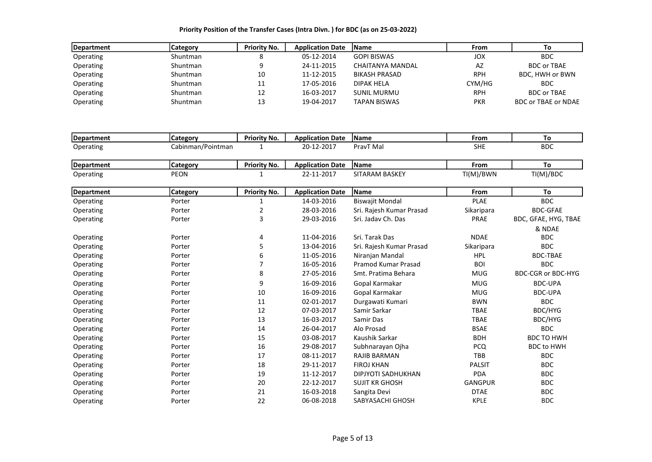| Department | Category | <b>Priority No.</b> | <b>Application Date</b> | <b>IName</b>         | <b>From</b> | Τo                  |
|------------|----------|---------------------|-------------------------|----------------------|-------------|---------------------|
| Operating  | Shuntman |                     | 05-12-2014              | <b>GOPI BISWAS</b>   | JOX         | <b>BDC</b>          |
| Operating  | Shuntman |                     | 24-11-2015              | CHAITANYA MANDAL     | AZ          | <b>BDC or TBAE</b>  |
| Operating  | Shuntman | 10                  | 11-12-2015              | <b>BIKASH PRASAD</b> | <b>RPH</b>  | BDC, HWH or BWN     |
| Operating  | Shuntman | 11                  | 17-05-2016              | <b>DIPAK HELA</b>    | CYM/HG      | <b>BDC</b>          |
| Operating  | Shuntman | 12                  | 16-03-2017              | <b>SUNIL MURMU</b>   | <b>RPH</b>  | <b>BDC or TBAE</b>  |
| Operating  | Shuntman | 13                  | 19-04-2017              | TAPAN BISWAS         | <b>PKR</b>  | BDC or TBAE or NDAE |

| Department | <b>Category</b>   | <b>Priority No.</b> | <b>Application Date</b> | Name                      | From           | To                        |
|------------|-------------------|---------------------|-------------------------|---------------------------|----------------|---------------------------|
| Operating  | Cabinman/Pointman |                     | 20-12-2017              | PravT Mal                 | <b>SHE</b>     | <b>BDC</b>                |
| Department | <b>Category</b>   | <b>Priority No.</b> | <b>Application Date</b> | <b>Name</b>               | From           | To                        |
| Operating  | PEON              |                     | 22-11-2017              | SITARAM BASKEY            | TI(M)/BWN      | TI(M)/BDC                 |
|            |                   |                     |                         |                           |                |                           |
| Department | <b>Category</b>   | <b>Priority No.</b> | <b>Application Date</b> | Name                      | From           | To                        |
| Operating  | Porter            |                     | 14-03-2016              | <b>Biswajit Mondal</b>    | <b>PLAE</b>    | <b>BDC</b>                |
| Operating  | Porter            | 2                   | 28-03-2016              | Sri. Rajesh Kumar Prasad  | Sikaripara     | <b>BDC-GFAE</b>           |
| Operating  | Porter            | 3                   | 29-03-2016              | Sri. Jaday Ch. Das        | <b>PRAE</b>    | BDC, GFAE, HYG, TBAE      |
|            |                   |                     |                         |                           |                | & NDAE                    |
| Operating  | Porter            | 4                   | 11-04-2016              | Sri. Tarak Das            | <b>NDAE</b>    | <b>BDC</b>                |
| Operating  | Porter            | 5                   | 13-04-2016              | Sri. Rajesh Kumar Prasad  | Sikaripara     | <b>BDC</b>                |
| Operating  | Porter            | 6                   | 11-05-2016              | Niranjan Mandal           | <b>HPL</b>     | <b>BDC-TBAE</b>           |
| Operating  | Porter            | $\overline{7}$      | 16-05-2016              | Pramod Kumar Prasad       | <b>BOI</b>     | <b>BDC</b>                |
| Operating  | Porter            | 8                   | 27-05-2016              | Smt. Pratima Behara       | <b>MUG</b>     | <b>BDC-CGR or BDC-HYG</b> |
| Operating  | Porter            | 9                   | 16-09-2016              | Gopal Karmakar            | <b>MUG</b>     | <b>BDC-UPA</b>            |
| Operating  | Porter            | 10                  | 16-09-2016              | Gopal Karmakar            | <b>MUG</b>     | <b>BDC-UPA</b>            |
| Operating  | Porter            | 11                  | 02-01-2017              | Durgawati Kumari          | <b>BWN</b>     | <b>BDC</b>                |
| Operating  | Porter            | 12                  | 07-03-2017              | Samir Sarkar              | <b>TBAE</b>    | BDC/HYG                   |
| Operating  | Porter            | 13                  | 16-03-2017              | Samir Das                 | <b>TBAE</b>    | BDC/HYG                   |
| Operating  | Porter            | 14                  | 26-04-2017              | Alo Prosad                | <b>BSAE</b>    | <b>BDC</b>                |
| Operating  | Porter            | 15                  | 03-08-2017              | Kaushik Sarkar            | <b>BDH</b>     | <b>BDC TO HWH</b>         |
| Operating  | Porter            | 16                  | 29-08-2017              | Subhnarayan Ojha          | <b>PCQ</b>     | <b>BDC to HWH</b>         |
| Operating  | Porter            | 17                  | 08-11-2017              | <b>RAJIB BARMAN</b>       | <b>TBB</b>     | <b>BDC</b>                |
| Operating  | Porter            | 18                  | 29-11-2017              | <b>FIROJ KHAN</b>         | <b>PALSIT</b>  | <b>BDC</b>                |
| Operating  | Porter            | 19                  | 11-12-2017              | <b>DIPJYOTI SADHUKHAN</b> | <b>PDA</b>     | <b>BDC</b>                |
| Operating  | Porter            | 20                  | 22-12-2017              | <b>SUJIT KR GHOSH</b>     | <b>GANGPUR</b> | <b>BDC</b>                |
| Operating  | Porter            | 21                  | 16-03-2018              | Sangita Devi              | <b>DTAE</b>    | <b>BDC</b>                |
| Operating  | Porter            | 22                  | 06-08-2018              | SABYASACHI GHOSH          | <b>KPLE</b>    | <b>BDC</b>                |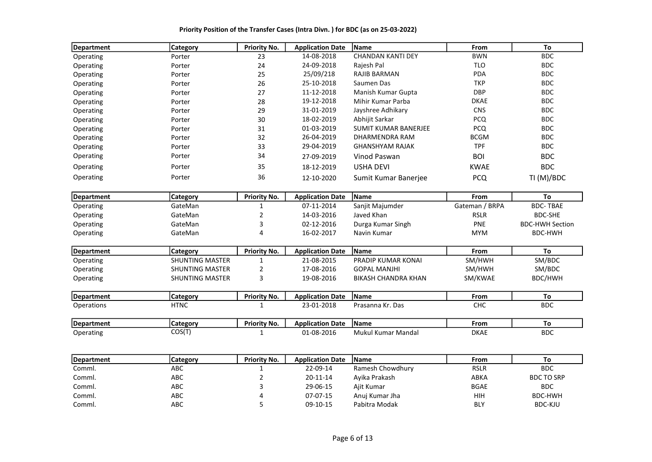| Department        | Category               | <b>Priority No.</b> | <b>Application Date</b> | Name                       | From           | To                     |
|-------------------|------------------------|---------------------|-------------------------|----------------------------|----------------|------------------------|
| Operating         | Porter                 | 23                  | 14-08-2018              | <b>CHANDAN KANTI DEY</b>   | <b>BWN</b>     | <b>BDC</b>             |
| Operating         | Porter                 | 24                  | 24-09-2018              | Rajesh Pal                 | <b>TLO</b>     | <b>BDC</b>             |
| Operating         | Porter                 | 25                  | 25/09/218               | RAJIB BARMAN               | PDA            | <b>BDC</b>             |
| Operating         | Porter                 | 26                  | 25-10-2018              | Saumen Das                 | <b>TKP</b>     | <b>BDC</b>             |
| Operating         | Porter                 | 27                  | 11-12-2018              | Manish Kumar Gupta         | <b>DBP</b>     | <b>BDC</b>             |
| Operating         | Porter                 | 28                  | 19-12-2018              | Mihir Kumar Parba          | <b>DKAE</b>    | <b>BDC</b>             |
| Operating         | Porter                 | 29                  | 31-01-2019              | Jayshree Adhikary          | <b>CNS</b>     | <b>BDC</b>             |
| Operating         | Porter                 | 30                  | 18-02-2019              | Abhijit Sarkar             | <b>PCQ</b>     | <b>BDC</b>             |
| Operating         | Porter                 | 31                  | 01-03-2019              | SUMIT KUMAR BANERJEE       | <b>PCQ</b>     | <b>BDC</b>             |
| Operating         | Porter                 | 32                  | 26-04-2019              | DHARMENDRA RAM             | <b>BCGM</b>    | <b>BDC</b>             |
| Operating         | Porter                 | 33                  | 29-04-2019              | <b>GHANSHYAM RAJAK</b>     | <b>TPF</b>     | <b>BDC</b>             |
| Operating         | Porter                 | 34                  | 27-09-2019              | Vinod Paswan               | <b>BOI</b>     | <b>BDC</b>             |
| Operating         | Porter                 | 35                  | 18-12-2019              | <b>USHA DEVI</b>           | <b>KWAE</b>    | <b>BDC</b>             |
| Operating         | Porter                 | 36                  | 12-10-2020              | Sumit Kumar Banerjee       | <b>PCQ</b>     | TI (M)/BDC             |
| Department        | Category               | <b>Priority No.</b> | <b>Application Date</b> | Name                       | From           | To                     |
| Operating         | GateMan                | 1                   | 07-11-2014              | Sanjit Majumder            | Gateman / BRPA | <b>BDC-TBAE</b>        |
| Operating         | GateMan                | 2                   | 14-03-2016              | Javed Khan                 | <b>RSLR</b>    | <b>BDC-SHE</b>         |
| Operating         | GateMan                | 3                   | 02-12-2016              | Durga Kumar Singh          | PNE            | <b>BDC-HWH Section</b> |
| Operating         | GateMan                | 4                   | 16-02-2017              | Navin Kumar                | <b>MYM</b>     | <b>BDC-HWH</b>         |
| <b>Department</b> | <b>Category</b>        | <b>Priority No.</b> | <b>Application Date</b> | Name                       | From           | To                     |
| Operating         | <b>SHUNTING MASTER</b> | 1                   | 21-08-2015              | PRADIP KUMAR KONAI         | SM/HWH         | SM/BDC                 |
| Operating         | <b>SHUNTING MASTER</b> | 2                   | 17-08-2016              | <b>GOPAL MANJHI</b>        | SM/HWH         | SM/BDC                 |
| Operating         | <b>SHUNTING MASTER</b> | 3                   | 19-08-2016              | <b>BIKASH CHANDRA KHAN</b> | SM/KWAE        | BDC/HWH                |
| <b>Department</b> | <b>Category</b>        | <b>Priority No.</b> | <b>Application Date</b> | <b>Name</b>                | From           | To                     |
| <b>Operations</b> | <b>HTNC</b>            | 1                   | 23-01-2018              | Prasanna Kr. Das           | <b>CHC</b>     | <b>BDC</b>             |
| <b>Department</b> | <b>Category</b>        | <b>Priority No.</b> | <b>Application Date</b> | Name                       | From           | To                     |
| Operating         | COS(T)                 | $\mathbf{1}$        | 01-08-2016              | <b>Mukul Kumar Mandal</b>  | <b>DKAE</b>    | <b>BDC</b>             |
| <b>Department</b> | Category               | Priority No.        | <b>Application Date</b> | <b>Name</b>                | From           | To                     |
| Comml.            | ABC                    | 1                   | 22-09-14                | Ramesh Chowdhury           | <b>RSLR</b>    | <b>BDC</b>             |
| Comml.            | ABC                    | 2                   | 20-11-14                | Ayika Prakash              | ABKA           | <b>BDC TO SRP</b>      |

Comml. ABC 3 29-06-15 Ajit Kumar BGAE BDC Comml. ABC 4 07-07-15 Anuj Kumar Jha HIH BDC-HWH Comml. ABC 5 09-10-15 Pabitra Modak BLY BDC-KJU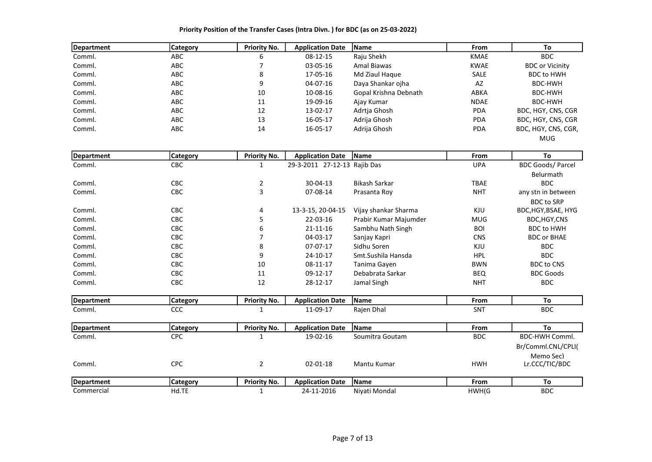| Department | <b>Category</b> | <b>Priority No.</b> | <b>Application Date</b> | <b>Name</b>           | <b>From</b> | To                     |
|------------|-----------------|---------------------|-------------------------|-----------------------|-------------|------------------------|
| Comml.     | ABC             | 6                   | 08-12-15                | Raju Shekh            | <b>KMAE</b> | BDC.                   |
| Comml.     | ABC.            |                     | 03-05-16                | Amal Biawas           | <b>KWAE</b> | <b>BDC or Vicinity</b> |
| Comml.     | ABC             | 8                   | 17-05-16                | Md Ziaul Hague        | <b>SALE</b> | <b>BDC to HWH</b>      |
| Comml.     | ABC             | 9                   | 04-07-16                | Daya Shankar ojha     | AZ          | BDC-HWH                |
| Comml.     | ABC.            | 10                  | 10-08-16                | Gopal Krishna Debnath | ABKA        | BDC-HWH                |
| Comml.     | ABC             | 11                  | 19-09-16                | Ajay Kumar            | <b>NDAE</b> | BDC-HWH                |
| Comml.     | ABC             | 12                  | 13-02-17                | Adrtia Ghosh          | <b>PDA</b>  | BDC, HGY, CNS, CGR     |
| Comml.     | ABC             | 13                  | 16-05-17                | Adrija Ghosh          | <b>PDA</b>  | BDC, HGY, CNS, CGR     |
| Comml.     | ABC             | 14                  | 16-05-17                | Adrija Ghosh          | <b>PDA</b>  | BDC, HGY, CNS, CGR,    |
|            |                 |                     |                         |                       |             | <b>MUG</b>             |

| Department | <b>Category</b> | <b>Priority No.</b> | <b>Application Date</b>      | <b>Name</b>           | <b>From</b> | To                       |
|------------|-----------------|---------------------|------------------------------|-----------------------|-------------|--------------------------|
| Comml.     | CBC             |                     | 29-3-2011 27-12-13 Rajib Das |                       | <b>UPA</b>  | <b>BDC Goods/ Parcel</b> |
|            |                 |                     |                              |                       |             | Belurmath                |
| Comml.     | <b>CBC</b>      |                     | $30 - 04 - 13$               | Bikash Sarkar         | <b>TBAE</b> | <b>BDC</b>               |
| Comml.     | <b>CBC</b>      | 3                   | 07-08-14                     | Prasanta Roy          | <b>NHT</b>  | any stn in between       |
|            |                 |                     |                              |                       |             | <b>BDC to SRP</b>        |
| Comml.     | <b>CBC</b>      | 4                   | 13-3-15, 20-04-15            | Vijay shankar Sharma  | KJU         | BDC, HGY, BSAE, HYG      |
| Comml.     | <b>CBC</b>      |                     | 22-03-16                     | Prabir Kumar Majumder | <b>MUG</b>  | BDC,HGY,CNS              |
| Comml.     | <b>CBC</b>      | 6                   | $21 - 11 - 16$               | Sambhu Nath Singh     | <b>BOI</b>  | <b>BDC to HWH</b>        |
| Comml.     | <b>CBC</b>      |                     | 04-03-17                     | Sanjay Kapri          | <b>CNS</b>  | <b>BDC or BHAE</b>       |
| Comml.     | <b>CBC</b>      | 8                   | 07-07-17                     | Sidhu Soren           | KJU         | <b>BDC</b>               |
| Comml.     | <b>CBC</b>      | 9                   | 24-10-17                     | Smt. Sushila Hansda   | <b>HPL</b>  | <b>BDC</b>               |
| Comml.     | <b>CBC</b>      | 10                  | 08-11-17                     | Tanima Gayen          | <b>BWN</b>  | <b>BDC to CNS</b>        |
| Comml.     | <b>CBC</b>      | 11                  | 09-12-17                     | Debabrata Sarkar      | <b>BEQ</b>  | <b>BDC Goods</b>         |
| Comml.     | <b>CBC</b>      | 12                  | 28-12-17                     | Jamal Singh           | <b>NHT</b>  | <b>BDC</b>               |

| <b>IDepartment</b> | categor   | Priority No. | <b>Application Date</b>    | <b>IName</b> | From |                      |
|--------------------|-----------|--------------|----------------------------|--------------|------|----------------------|
| -<br>Commi.        | ---<br>ะะ |              | - -<br>.∩۵<br>.<br>ີ<br>-- | Dhal<br>∩n   | SN.  | <b>BDC</b><br>$\sim$ |

| Department | <b>Category</b> | <b>Priority No.</b> | <b>Application Date</b> | <b>IName</b>    | <b>From</b> | To                                   |
|------------|-----------------|---------------------|-------------------------|-----------------|-------------|--------------------------------------|
| Comml.     | <b>CPC</b>      |                     | 19-02-16                | Soumitra Goutam | <b>BDC</b>  | BDC-HWH Comml.<br>Br/Comml.CNL/CPLI( |
| Comml.     | <b>CPC</b>      |                     | $02 - 01 - 18$          | Mantu Kumar     | <b>HWH</b>  | Memo Sec)<br>Lr.CCC/TIC/BDC          |
| Department | <b>Category</b> | <b>Priority No.</b> | <b>Application Date</b> | <b>IName</b>    | From        | Т٥                                   |
| Commercial | Hd.TE           |                     | 24-11-2016              | Nivati Mondal   | HWH(G       | <b>BDC</b>                           |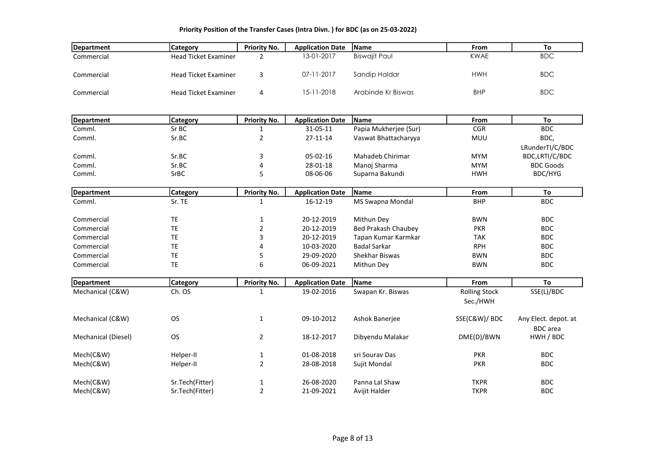| Department          | <b>Category</b>             | <b>Priority No.</b> | <b>Application Date</b> | Name                       | From                 | To                           |
|---------------------|-----------------------------|---------------------|-------------------------|----------------------------|----------------------|------------------------------|
| Commercial          | <b>Head Ticket Examiner</b> | $\overline{2}$      | 13-01-2017              | <b>Biswajit Paul</b>       | <b>KWAE</b>          | <b>BDC</b>                   |
| Commercial          | <b>Head Ticket Examiner</b> | 3                   | 07-11-2017              | Sandip Haldar              | <b>HWH</b>           | <b>BDC</b>                   |
| Commercial          | <b>Head Ticket Examiner</b> | 4                   | 15-11-2018              | Arabinde Kr Biswas         | <b>BHP</b>           | <b>BDC</b>                   |
|                     |                             |                     |                         |                            |                      |                              |
| <b>Department</b>   | <b>Category</b>             | <b>Priority No.</b> | <b>Application Date</b> | Name                       | From                 | To                           |
| Comml.              | Sr BC                       | 1                   | 31-05-11                | Papia Mukherjee (Sur)      | <b>CGR</b>           | <b>BDC</b>                   |
| Comml.              | Sr.BC                       | $\overline{2}$      | 27-11-14                | Vaswat Bhattacharyya       | MUU                  | BDC,                         |
|                     |                             |                     |                         |                            |                      | LRunderTI/C/BDC              |
| Comml.              | Sr.BC                       | 3                   | 05-02-16                | Mahadeb Chirimar           | <b>MYM</b>           | BDC,LRTI/C/BDC               |
| Comml.              | Sr.BC                       | 4                   | 28-01-18                | Manoj Sharma               | <b>MYM</b>           | <b>BDC Goods</b>             |
| Comml.              | SrBC                        | 5                   | 08-06-06                | Suparna Bakundi            | <b>HWH</b>           | BDC/HYG                      |
| <b>Department</b>   | <b>Category</b>             | <b>Priority No.</b> | <b>Application Date</b> | <b>Name</b>                | From                 | To                           |
| Comml.              | Sr. TE                      | $\mathbf{1}$        | 16-12-19                | MS Swapna Mondal           | <b>BHP</b>           | <b>BDC</b>                   |
| Commercial          | TE                          | 1                   | 20-12-2019              | Mithun Dey                 | <b>BWN</b>           | <b>BDC</b>                   |
| Commercial          | TE                          | 2                   | 20-12-2019              | <b>Bed Prakash Chaubey</b> | <b>PKR</b>           | <b>BDC</b>                   |
| Commercial          | <b>TE</b>                   | 3                   | 20-12-2019              | Tapan Kumar Karmkar        | <b>TAK</b>           | <b>BDC</b>                   |
| Commercial          | <b>TE</b>                   | 4                   | 10-03-2020              | <b>Badal Sarkar</b>        | <b>RPH</b>           | <b>BDC</b>                   |
| Commercial          | <b>TE</b>                   | 5                   | 29-09-2020              | Shekhar Biswas             | <b>BWN</b>           | <b>BDC</b>                   |
| Commercial          | TE                          | 6                   | 06-09-2021              | Mithun Dey                 | <b>BWN</b>           | <b>BDC</b>                   |
| Department          | <b>Category</b>             | <b>Priority No.</b> | <b>Application Date</b> | Name                       | From                 | To                           |
| Mechanical (C&W)    | Ch. OS                      | $\mathbf{1}$        | 19-02-2016              | Swapan Kr. Biswas          | <b>Rolling Stock</b> | SSE(L)/BDC                   |
|                     |                             |                     |                         |                            | Sec./HWH             |                              |
| Mechanical (C&W)    | <b>OS</b>                   | $\mathbf{1}$        | 09-10-2012              | Ashok Banerjee             | SSE(C&W)/ BDC        | Any Elect. depot. at         |
| Mechanical (Diesel) | <b>OS</b>                   | $\overline{2}$      | 18-12-2017              | Dibyendu Malakar           | DME(D)/BWN           | <b>BDC</b> area<br>HWH / BDC |
| Mech(C&W)           | Helper-II                   | $\mathbf{1}$        | 01-08-2018              | sri Sourav Das             | <b>PKR</b>           | <b>BDC</b>                   |
| Mech(C&W)           | Helper-II                   | $\overline{2}$      | 28-08-2018              | Sujit Mondal               | <b>PKR</b>           | <b>BDC</b>                   |
| Mech(C&W)           | Sr.Tech(Fitter)             | $\mathbf 1$         | 26-08-2020              | Panna Lal Shaw             | <b>TKPR</b>          | <b>BDC</b>                   |
| Mech(C&W)           | Sr.Tech(Fitter)             | $\overline{2}$      | 21-09-2021              | Avijit Halder              | <b>TKPR</b>          | <b>BDC</b>                   |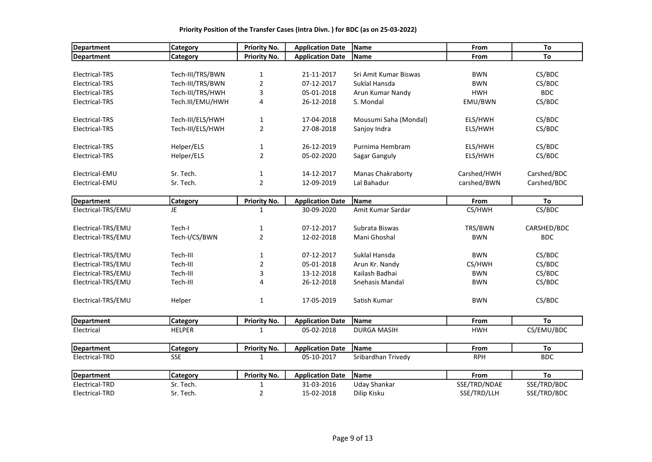# Department Category Priority No. Application Date Name From To Department Category Priority No. Application Date Name From To Electrical-TRS Tech-III/TRS/BWN 1 21-11-2017 Sri Amit Kumar Biswas BWN CS/BDC Electrical-TRS Tech-III/TRS/BWN 2 07-12-2017 Suklal Hansda BWN CS/BDC Electrical-TRS Tech-III/TRS/HWH 3 05-01-2018 Arun Kumar Nandy HWH BDC Electrical-TRS Tech.III/EMU/HWH 4 26-12-2018 S. Mondal EMU/BWN CS/BDC Electrical-TRS Tech-III/ELS/HWH 1 17-04-2018 Mousumi Saha (Mondal) ELS/HWH CS/BDC Electrical-TRS Tech-III/ELS/HWH 2 27-08-2018 Sanjoy Indra ELS/HWH CS/BDC Electrical-TRS Helper/ELS 1 26-12-2019 Purnima Hembram ELS/HWH CS/BDC Electrical-TRS Helper/ELS 2 05-02-2020 Sagar Ganguly ELS/HWH CS/BDC Electrical-EMU Sr. Tech. 1 14-12-2017 Manas Chakraborty Carshed/HWH Carshed/BDC Electrical-EMU Sr. Tech. 2 12-09-2019 Lal Bahadur carshed/BWN Carshed/BDC Department Category Priority No. Application Date Name From To Electrical-TRS/EMU JE 1 30-09-2020 Amit Kumar Sardar CS/HWH CS/BDC Electrical-TRS/EMU Tech-I 1 07-12-2017 Subrata Biswas TRS/BWN CARSHED/BDC Electrical-TRS/EMU Tech-I/CS/BWN 2 12-02-2018 Mani Ghoshal BWN BDC Electrical-TRS/EMU Tech-III 1 07-12-2017 Suklal Hansda BWN CS/BDC Electrical-TRS/EMU Tech-III 2 05-01-2018 Arun Kr. Nandy CS/HWH CS/BDC Electrical-TRS/EMU Tech-III 3 13-12-2018 Kailash Badhai BWN CS/BDC Electrical-TRS/EMU Tech-III 4 26-12-2018 Snehasis Mandal BWN CS/BDC Electrical-TRS/EMU Helper 1 17-05-2019 Satish Kumar BWN BWN CS/BDC Department Category Priority No. Application Date Name From To Electrical HELPER 1 05-02-2018 DURGA MASIH HWH CS/EMU/BDC Department Category Priority No. Application Date Name From To Electrical-TRD SSE 1 05-10-2017 Sribardhan Trivedy RPH BDC Department Category Priority No. Application Date Name From To Electrical-TRD Sr. Tech. 1 31-03-2016 Uday Shankar SSE/TRD/NDAE SSE/TRD/BDC Electrical-TRD Sr. Tech. 2 15-02-2018 Dilip Kisku SSE/TRD/LLH SSE/TRD/BDC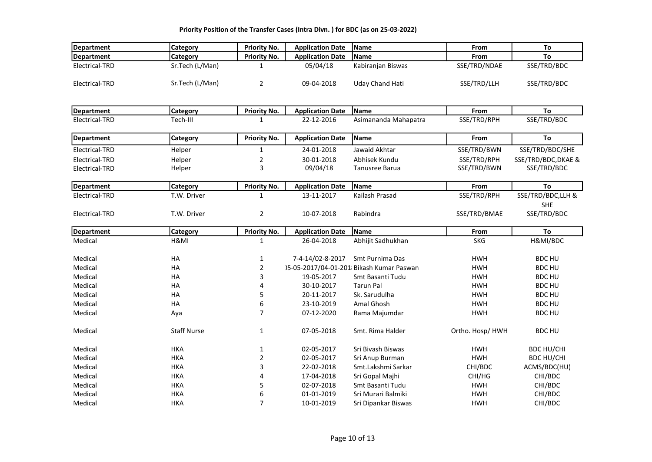| Department        | Category           | <b>Priority No.</b> | <b>Application Date</b> | Name                                     | From             | To                  |
|-------------------|--------------------|---------------------|-------------------------|------------------------------------------|------------------|---------------------|
| <b>Department</b> | Category           | <b>Priority No.</b> | <b>Application Date</b> | Name                                     | From             | To                  |
| Electrical-TRD    | Sr.Tech (L/Man)    | 1                   | 05/04/18                | Kabiranjan Biswas                        | SSE/TRD/NDAE     | SSE/TRD/BDC         |
| Electrical-TRD    | Sr.Tech (L/Man)    | $\overline{2}$      | 09-04-2018              | <b>Uday Chand Hati</b>                   | SSE/TRD/LLH      | SSE/TRD/BDC         |
|                   |                    |                     |                         |                                          |                  |                     |
| <b>Department</b> | <b>Category</b>    | <b>Priority No.</b> | <b>Application Date</b> | Name                                     | From             | To                  |
| Electrical-TRD    | Tech-III           | 1                   | 22-12-2016              | Asimananda Mahapatra                     | SSE/TRD/RPH      | SSE/TRD/BDC         |
| <b>Department</b> | Category           | <b>Priority No.</b> | <b>Application Date</b> | Name                                     | From             | To                  |
| Electrical-TRD    | Helper             | $\mathbf{1}$        | 24-01-2018              | Jawaid Akhtar                            | SSE/TRD/BWN      | SSE/TRD/BDC/SHE     |
| Electrical-TRD    | Helper             | 2                   | 30-01-2018              | Abhisek Kundu                            | SSE/TRD/RPH      | SSE/TRD/BDC, DKAE & |
| Electrical-TRD    | Helper             | 3                   | 09/04/18                | <b>Tanusree Barua</b>                    | SSE/TRD/BWN      | SSE/TRD/BDC         |
| Department        | <b>Category</b>    | <b>Priority No.</b> | <b>Application Date</b> | Name                                     | From             | To                  |
| Electrical-TRD    | T.W. Driver        | $\mathbf{1}$        | 13-11-2017              | Kailash Prasad                           | SSE/TRD/RPH      | SSE/TRD/BDC,LLH &   |
|                   |                    |                     |                         |                                          |                  | <b>SHE</b>          |
| Electrical-TRD    | T.W. Driver        | $\overline{2}$      | 10-07-2018              | Rabindra                                 | SSE/TRD/BMAE     | SSE/TRD/BDC         |
| <b>Department</b> | Category           | <b>Priority No.</b> | <b>Application Date</b> | Name                                     | From             | To                  |
| Medical           | H&MI               | $\mathbf{1}$        | 26-04-2018              | Abhijit Sadhukhan                        | <b>SKG</b>       | H&MI/BDC            |
|                   |                    |                     |                         |                                          |                  |                     |
| Medical           | HA                 | $\mathbf{1}$        | 7-4-14/02-8-2017        | Smt Purnima Das                          | <b>HWH</b>       | <b>BDC HU</b>       |
| Medical           | HA                 | $\overline{2}$      |                         | )5-05-2017/04-01-201 Bikash Kumar Paswan | <b>HWH</b>       | <b>BDC HU</b>       |
| Medical           | HA                 | 3                   | 19-05-2017              | Smt Basanti Tudu                         | <b>HWH</b>       | <b>BDC HU</b>       |
| Medical           | HA                 | 4                   | 30-10-2017              | <b>Tarun Pal</b>                         | <b>HWH</b>       | <b>BDC HU</b>       |
| Medical           | HA                 | 5                   | 20-11-2017              | Sk. Sarudulha                            | <b>HWH</b>       | <b>BDC HU</b>       |
| Medical           | HA                 | 6                   | 23-10-2019              | Amal Ghosh                               | <b>HWH</b>       | <b>BDC HU</b>       |
| Medical           | Aya                | $\overline{7}$      | 07-12-2020              | Rama Majumdar                            | <b>HWH</b>       | <b>BDC HU</b>       |
| Medical           | <b>Staff Nurse</b> | $\mathbf{1}$        | 07-05-2018              | Smt. Rima Halder                         | Ortho. Hosp/ HWH | <b>BDC HU</b>       |
| Medical           | <b>HKA</b>         | $\mathbf{1}$        | 02-05-2017              | Sri Bivash Biswas                        | <b>HWH</b>       | <b>BDC HU/CHI</b>   |
| Medical           | <b>HKA</b>         | $\overline{2}$      | 02-05-2017              | Sri Anup Burman                          | <b>HWH</b>       | <b>BDC HU/CHI</b>   |
| Medical           | <b>HKA</b>         | 3                   | 22-02-2018              | Smt.Lakshmi Sarkar                       | CHI/BDC          | ACMS/BDC(HU)        |
| Medical           | <b>HKA</b>         | 4                   | 17-04-2018              | Sri Gopal Majhi                          | CHI/HG           | CHI/BDC             |
| Medical           | <b>HKA</b>         | 5                   | 02-07-2018              | Smt Basanti Tudu                         | <b>HWH</b>       | CHI/BDC             |
| Medical           | <b>HKA</b>         | 6                   | 01-01-2019              | Sri Murari Balmiki                       | <b>HWH</b>       | CHI/BDC             |
| Medical           | <b>HKA</b>         | $\overline{7}$      | 10-01-2019              | Sri Dipankar Biswas                      | <b>HWH</b>       | CHI/BDC             |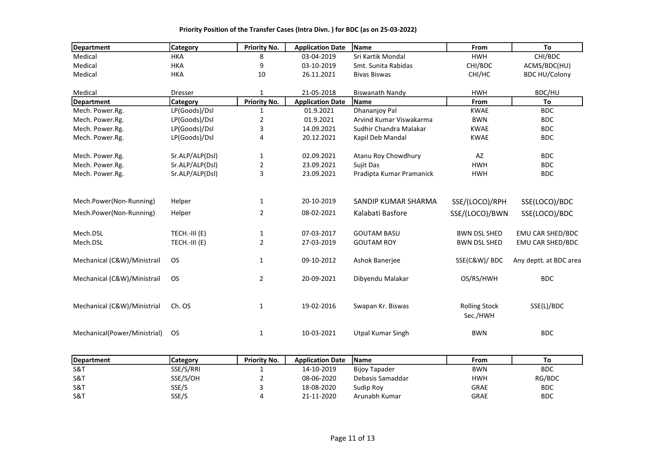| <b>Department</b>            | <b>Category</b> | <b>Priority No.</b> | <b>Application Date</b> | Name                     | From                 | To                     |
|------------------------------|-----------------|---------------------|-------------------------|--------------------------|----------------------|------------------------|
| Medical                      | <b>HKA</b>      | 8                   | 03-04-2019              | Sri Kartik Mondal        | <b>HWH</b>           | CHI/BDC                |
| Medical                      | <b>HKA</b>      | 9                   | 03-10-2019              | Smt. Sunita Rabidas      | CHI/BDC              | ACMS/BDC(HU)           |
| Medical                      | <b>HKA</b>      | 10                  | 26.11.2021              | <b>Bivas Biswas</b>      | CHI/HC               | <b>BDC HU/Colony</b>   |
|                              |                 |                     |                         |                          |                      |                        |
| Medical                      | <b>Dresser</b>  | 1                   | 21-05-2018              | <b>Biswanath Nandy</b>   | <b>HWH</b>           | BDC/HU                 |
| Department                   | Category        | <b>Priority No.</b> | <b>Application Date</b> | <b>Name</b>              | From                 | To                     |
| Mech. Power.Rg.              | LP(Goods)/Dsl   | 1                   | 01.9.2021               | <b>Dhananjoy Pal</b>     | <b>KWAE</b>          | <b>BDC</b>             |
| Mech. Power.Rg.              | LP(Goods)/Dsl   | 2                   | 01.9.2021               | Arvind Kumar Viswakarma  | <b>BWN</b>           | <b>BDC</b>             |
| Mech. Power.Rg.              | LP(Goods)/Dsl   | 3                   | 14.09.2021              | Sudhir Chandra Malakar   | <b>KWAE</b>          | <b>BDC</b>             |
| Mech. Power.Rg.              | LP(Goods)/Dsl   | 4                   | 20.12.2021              | Kapil Deb Mandal         | <b>KWAE</b>          | <b>BDC</b>             |
| Mech. Power.Rg.              | Sr.ALP/ALP(Dsl) | $\mathbf{1}$        | 02.09.2021              | Atanu Roy Chowdhury      | AZ                   | <b>BDC</b>             |
| Mech. Power.Rg.              | Sr.ALP/ALP(Dsl) | $\overline{2}$      | 23.09.2021              | Sujit Das                | <b>HWH</b>           | <b>BDC</b>             |
| Mech. Power.Rg.              | Sr.ALP/ALP(Dsl) | 3                   | 23.09.2021              | Pradipta Kumar Pramanick | <b>HWH</b>           | <b>BDC</b>             |
|                              |                 |                     |                         |                          |                      |                        |
| Mech.Power(Non-Running)      | Helper          | $\mathbf{1}$        | 20-10-2019              | SANDIP KUMAR SHARMA      | SSE/(LOCO)/RPH       | SSE(LOCO)/BDC          |
| Mech.Power(Non-Running)      | Helper          | $\overline{2}$      | 08-02-2021              | Kalabati Basfore         | SSE/(LOCO)/BWN       | SSE(LOCO)/BDC          |
| Mech.DSL                     | TECH.-III (E)   | $\mathbf{1}$        | 07-03-2017              | <b>GOUTAM BASU</b>       | <b>BWN DSL SHED</b>  | EMU CAR SHED/BDC       |
| Mech.DSL                     | TECH.-III (E)   | $\overline{2}$      | 27-03-2019              | <b>GOUTAM ROY</b>        | <b>BWN DSL SHED</b>  | EMU CAR SHED/BDC       |
|                              |                 |                     |                         |                          |                      |                        |
| Mechanical (C&W)/Ministrail  | <b>OS</b>       | $\mathbf{1}$        | 09-10-2012              | Ashok Banerjee           | SSE(C&W)/ BDC        | Any deptt. at BDC area |
| Mechanical (C&W)/Ministrail  | <b>OS</b>       | $\overline{2}$      | 20-09-2021              | Dibyendu Malakar         | OS/RS/HWH            | <b>BDC</b>             |
|                              |                 |                     |                         |                          |                      |                        |
| Mechanical (C&W)/Ministrial  | Ch. OS          | $\mathbf{1}$        | 19-02-2016              | Swapan Kr. Biswas        | <b>Rolling Stock</b> | SSE(L)/BDC             |
|                              |                 |                     |                         |                          | Sec./HWH             |                        |
| Mechanical(Power/Ministrial) | <b>OS</b>       | 1                   | 10-03-2021              | <b>Utpal Kumar Singh</b> | <b>BWN</b>           | <b>BDC</b>             |
|                              |                 |                     |                         |                          |                      |                        |

| <b>IDepartment</b> | Category  | <b>Priority No.</b> | <b>Application Date</b> | <b>IName</b>         | From       | Τо         |
|--------------------|-----------|---------------------|-------------------------|----------------------|------------|------------|
| S&T                | SSE/S/RRI |                     | 14-10-2019              | <b>Bijoy Tapader</b> | <b>BWN</b> | <b>BDC</b> |
| S&T                | SSE/S/OH  |                     | 08-06-2020              | Debasis Samaddar     | <b>HWH</b> | RG/BDC     |
| S&T                | SSE/S     |                     | 18-08-2020              | Sudip Rov            | GRAE       | <b>BDC</b> |
| S&T                | SSE/S     |                     | 21-11-2020              | Arunabh Kumar        | GRAE       | <b>BDC</b> |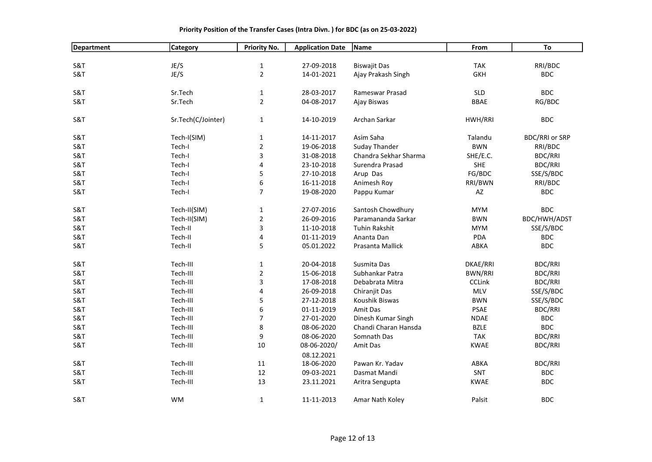| Department     | Category           | <b>Priority No.</b> | <b>Application Date</b> | Name                  | From           | To                    |
|----------------|--------------------|---------------------|-------------------------|-----------------------|----------------|-----------------------|
|                |                    |                     |                         |                       |                |                       |
| S&T            | JE/S               | $\mathbf{1}$        | 27-09-2018              | <b>Biswajit Das</b>   | <b>TAK</b>     | RRI/BDC               |
| S&T            | JE/S               | $\overline{2}$      | 14-01-2021              | Ajay Prakash Singh    | <b>GKH</b>     | <b>BDC</b>            |
|                |                    |                     |                         |                       |                |                       |
| S&T            | Sr.Tech            | $\mathbf{1}$        | 28-03-2017              | Rameswar Prasad       | <b>SLD</b>     | <b>BDC</b>            |
| S&T            | Sr.Tech            | $\overline{2}$      | 04-08-2017              | Ajay Biswas           | <b>BBAE</b>    | RG/BDC                |
|                |                    |                     |                         |                       |                |                       |
| S&T            | Sr.Tech(C/Jointer) | $\mathbf{1}$        | 14-10-2019              | Archan Sarkar         | HWH/RRI        | <b>BDC</b>            |
|                |                    |                     |                         |                       |                |                       |
| S&T            | Tech-I(SIM)        | $\mathbf{1}$        | 14-11-2017              | Asim Saha             | Talandu        | <b>BDC/RRI or SRP</b> |
| S&T            | Tech-I             | $\mathbf 2$         | 19-06-2018              | <b>Suday Thander</b>  | <b>BWN</b>     | RRI/BDC               |
| S&T            | Tech-I             | 3                   | 31-08-2018              | Chandra Sekhar Sharma | SHE/E.C.       | <b>BDC/RRI</b>        |
| S&T            | Tech-I             | 4                   | 23-10-2018              | Surendra Prasad       | SHE            | <b>BDC/RRI</b>        |
| S&T            | Tech-I             | 5                   | 27-10-2018              | Arup Das              | FG/BDC         | SSE/S/BDC             |
| S&T            | Tech-I             | 6                   | 16-11-2018              | Animesh Roy           | RRI/BWN        | RRI/BDC               |
| S&T            | Tech-I             | $\overline{7}$      | 19-08-2020              | Pappu Kumar           | AZ             | <b>BDC</b>            |
| <b>S&amp;T</b> | Tech-II(SIM)       | $\mathbf 1$         | 27-07-2016              | Santosh Chowdhury     | <b>MYM</b>     | <b>BDC</b>            |
| S&T            | Tech-II(SIM)       | $\mathbf 2$         | 26-09-2016              | Paramananda Sarkar    | <b>BWN</b>     | BDC/HWH/ADST          |
| S&T            | Tech-II            | 3                   | 11-10-2018              | <b>Tuhin Rakshit</b>  | <b>MYM</b>     | SSE/S/BDC             |
| S&T            | Tech-II            | 4                   | 01-11-2019              | Ananta Dan            | <b>PDA</b>     | <b>BDC</b>            |
|                |                    |                     |                         |                       |                |                       |
| S&T            | Tech-II            | 5                   | 05.01.2022              | Prasanta Mallick      | ABKA           | <b>BDC</b>            |
| S&T            | Tech-III           | $\mathbf{1}$        | 20-04-2018              | Susmita Das           | DKAE/RRI       | <b>BDC/RRI</b>        |
| S&T            | Tech-III           | $\sqrt{2}$          | 15-06-2018              | Subhankar Patra       | <b>BWN/RRI</b> | <b>BDC/RRI</b>        |
| S&T            | Tech-III           | 3                   | 17-08-2018              | Debabrata Mitra       | <b>CCLink</b>  | BDC/RRI               |
| S&T            | Tech-III           | 4                   | 26-09-2018              | Chiranjit Das         | MLV            | SSE/S/BDC             |
| S&T            | Tech-III           | 5                   | 27-12-2018              | Koushik Biswas        | <b>BWN</b>     | SSE/S/BDC             |
| S&T            | Tech-III           | 6                   | 01-11-2019              | Amit Das              | <b>PSAE</b>    | <b>BDC/RRI</b>        |
| S&T            | Tech-III           | $\overline{7}$      | 27-01-2020              | Dinesh Kumar Singh    | <b>NDAE</b>    | <b>BDC</b>            |
| S&T            | Tech-III           | 8                   | 08-06-2020              | Chandi Charan Hansda  | <b>BZLE</b>    | <b>BDC</b>            |
| S&T            | Tech-III           | 9                   | 08-06-2020              | Somnath Das           | <b>TAK</b>     | <b>BDC/RRI</b>        |
| S&T            | Tech-III           | 10                  | 08-06-2020/             | Amit Das              | <b>KWAE</b>    | <b>BDC/RRI</b>        |
|                |                    |                     | 08.12.2021              |                       |                |                       |
| S&T            | Tech-III           | 11                  | 18-06-2020              | Pawan Kr. Yadav       | ABKA           | <b>BDC/RRI</b>        |
| S&T            | Tech-III           | 12                  | 09-03-2021              | Dasmat Mandi          | SNT            | <b>BDC</b>            |
| S&T            | Tech-III           | 13                  | 23.11.2021              | Aritra Sengupta       | <b>KWAE</b>    | <b>BDC</b>            |
|                |                    |                     |                         |                       |                |                       |
| S&T            | <b>WM</b>          | $\mathbf{1}$        | 11-11-2013              | Amar Nath Koley       | Palsit         | <b>BDC</b>            |